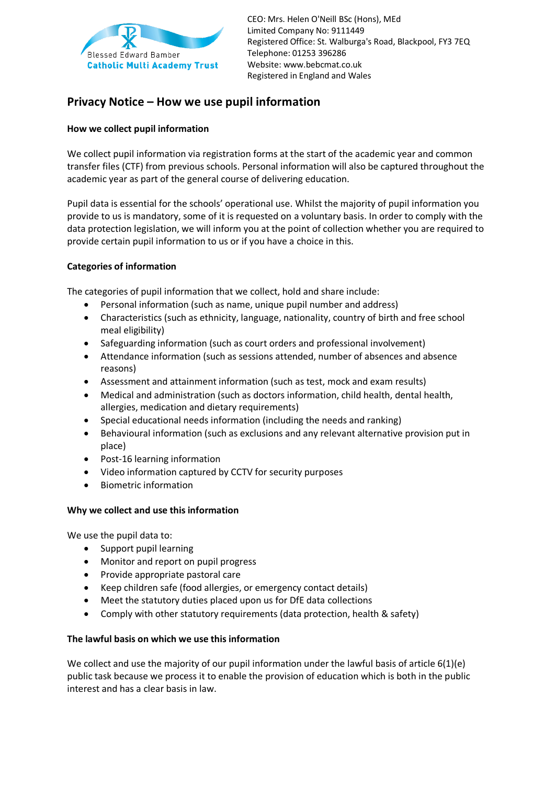

CEO: Mrs. Helen O'Neill BSc (Hons), MEd Limited Company No: 9111449 Registered Office: St. Walburga's Road, Blackpool, FY3 7EQ Telephone: 01253 396286 Website: www.bebcmat.co.u[k](http://www.bebcmat.co.uk/) Registered in England and Wales

# **Privacy Notice – How we use pupil information**

# **How we collect pupil information**

We collect pupil information via registration forms at the start of the academic year and common transfer files (CTF) from previous schools. Personal information will also be captured throughout the academic year as part of the general course of delivering education.

Pupil data is essential for the schools' operational use. Whilst the majority of pupil information you provide to us is mandatory, some of it is requested on a voluntary basis. In order to comply with the data protection legislation, we will inform you at the point of collection whether you are required to provide certain pupil information to us or if you have a choice in this.

# **Categories of information**

The categories of pupil information that we collect, hold and share include:

- Personal information (such as name, unique pupil number and address)
- Characteristics (such as ethnicity, language, nationality, country of birth and free school meal eligibility)
- Safeguarding information (such as court orders and professional involvement)
- Attendance information (such as sessions attended, number of absences and absence reasons)
- Assessment and attainment information (such as test, mock and exam results)
- Medical and administration (such as doctors information, child health, dental health, allergies, medication and dietary requirements)
- Special educational needs information (including the needs and ranking)
- Behavioural information (such as exclusions and any relevant alternative provision put in place)
- Post-16 learning information
- Video information captured by CCTV for security purposes
- Biometric information

#### **Why we collect and use this information**

We use the pupil data to:

- Support pupil learning
- Monitor and report on pupil progress
- Provide appropriate pastoral care
- Keep children safe (food allergies, or emergency contact details)
- Meet the statutory duties placed upon us for DfE data collections
- Comply with other statutory requirements (data protection, health & safety)

#### **The lawful basis on which we use this information**

We collect and use the majority of our pupil information under the lawful basis of article 6(1)(e) public task because we process it to enable the provision of education which is both in the public interest and has a clear basis in law.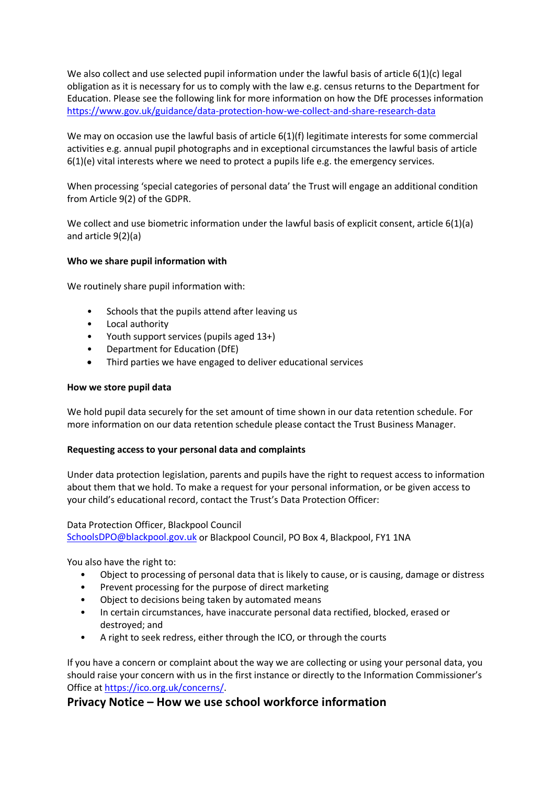We also collect and use selected pupil information under the lawful basis of article 6(1)(c) legal obligation as it is necessary for us to comply with the law e.g. census returns to the Department for Education. Please see the following link for more information on how the DfE processes information <https://www.gov.uk/guidance/data-protection-how-we-collect-and-share-research-data>

We may on occasion use the lawful basis of article 6(1)(f) legitimate interests for some commercial activities e.g. annual pupil photographs and in exceptional circumstances the lawful basis of article  $6(1)(e)$  vital interests where we need to protect a pupils life e.g. the emergency services.

When processing 'special categories of personal data' the Trust will engage an additional condition from Article 9(2) of the GDPR.

We collect and use biometric information under the lawful basis of explicit consent, article 6(1)(a) and article 9(2)(a)

# **Who we share pupil information with**

We routinely share pupil information with:

- Schools that the pupils attend after leaving us
- Local authority
- Youth support services (pupils aged 13+)
- Department for Education (DfE)
- Third parties we have engaged to deliver educational services

#### **How we store pupil data**

We hold pupil data securely for the set amount of time shown in our data retention schedule. For more information on our data retention schedule please contact the Trust Business Manager.

#### **Requesting access to your personal data and complaints**

Under data protection legislation, parents and pupils have the right to request access to information about them that we hold. To make a request for your personal information, or be given access to your child's educational record, contact the Trust's Data Protection Officer:

Data Protection Officer, Blackpool Council [SchoolsDPO@blackpool.gov.uk](mailto:SchoolsDPO@blackpool.gov.uk) or Blackpool Council, PO Box 4, Blackpool, FY1 1NA

You also have the right to:

- Object to processing of personal data that is likely to cause, or is causing, damage or distress
- Prevent processing for the purpose of direct marketing
- Object to decisions being taken by automated means
- In certain circumstances, have inaccurate personal data rectified, blocked, erased or destroyed; and
- A right to seek redress, either through the ICO, or through the courts

If you have a concern or complaint about the way we are collecting or using your personal data, you should raise your concern with us in the first instance or directly to the Information Commissioner's Office a[t https://ico.org.uk/concerns/.](https://ico.org.uk/concerns/)

# **Privacy Notice – How we use school workforce information**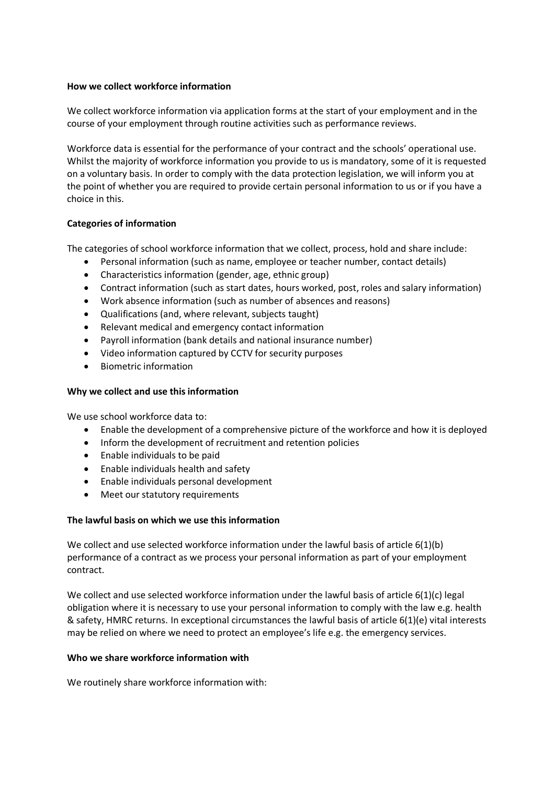#### **How we collect workforce information**

We collect workforce information via application forms at the start of your employment and in the course of your employment through routine activities such as performance reviews.

Workforce data is essential for the performance of your contract and the schools' operational use. Whilst the majority of workforce information you provide to us is mandatory, some of it is requested on a voluntary basis. In order to comply with the data protection legislation, we will inform you at the point of whether you are required to provide certain personal information to us or if you have a choice in this.

# **Categories of information**

The categories of school workforce information that we collect, process, hold and share include:

- Personal information (such as name, employee or teacher number, contact details)
- Characteristics information (gender, age, ethnic group)
- Contract information (such as start dates, hours worked, post, roles and salary information)
- Work absence information (such as number of absences and reasons)
- Qualifications (and, where relevant, subjects taught)
- Relevant medical and emergency contact information
- Payroll information (bank details and national insurance number)
- Video information captured by CCTV for security purposes
- Biometric information

# **Why we collect and use this information**

We use school workforce data to:

- Enable the development of a comprehensive picture of the workforce and how it is deployed
- Inform the development of recruitment and retention policies
- Enable individuals to be paid
- Enable individuals health and safety
- Enable individuals personal development
- Meet our statutory requirements

# **The lawful basis on which we use this information**

We collect and use selected workforce information under the lawful basis of article 6(1)(b) performance of a contract as we process your personal information as part of your employment contract.

We collect and use selected workforce information under the lawful basis of article 6(1)(c) legal obligation where it is necessary to use your personal information to comply with the law e.g. health & safety, HMRC returns. In exceptional circumstances the lawful basis of article 6(1)(e) vital interests may be relied on where we need to protect an employee's life e.g. the emergency services.

#### **Who we share workforce information with**

We routinely share workforce information with: